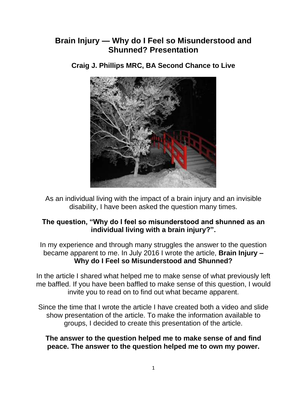# **Brain Injury — Why do I Feel so Misunderstood and Shunned? Presentation**



**Craig J. Phillips MRC, BA Second Chance to Live**

As an individual living with the impact of a brain injury and an invisible disability, I have been asked the question many times.

#### **The question, "Why do I feel so misunderstood and shunned as an individual living with a brain injury?".**

In my experience and through many struggles the answer to the question became apparent to me. In July 2016 I wrote the article, **Brain Injury – Why do I Feel so Misunderstood and Shunned?**

In the article I shared what helped me to make sense of what previously left me baffled. If you have been baffled to make sense of this question, I would invite you to read on to find out what became apparent.

Since the time that I wrote the article I have created both a video and slide show presentation of the article. To make the information available to groups, I decided to create this presentation of the article.

**The answer to the question helped me to make sense of and find peace. The answer to the question helped me to own my power.**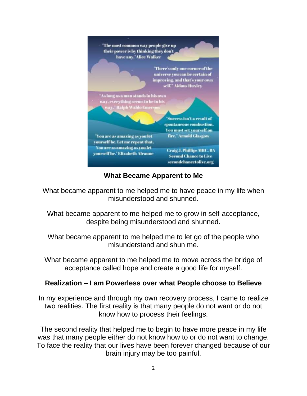

**What Became Apparent to Me**

What became apparent to me helped me to have peace in my life when misunderstood and shunned.

What became apparent to me helped me to grow in self-acceptance, despite being misunderstood and shunned.

What became apparent to me helped me to let go of the people who misunderstand and shun me.

What became apparent to me helped me to move across the bridge of acceptance called hope and create a good life for myself.

#### **Realization – I am Powerless over what People choose to Believe**

In my experience and through my own recovery process, I came to realize two realities. The first reality is that many people do not want or do not know how to process their feelings.

The second reality that helped me to begin to have more peace in my life was that many people either do not know how to or do not want to change. To face the reality that our lives have been forever changed because of our brain injury may be too painful.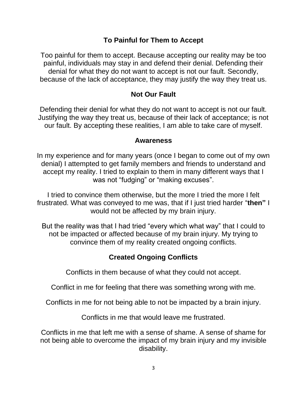## **To Painful for Them to Accept**

Too painful for them to accept. Because accepting our reality may be too painful, individuals may stay in and defend their denial. Defending their denial for what they do not want to accept is not our fault. Secondly, because of the lack of acceptance, they may justify the way they treat us.

## **Not Our Fault**

Defending their denial for what they do not want to accept is not our fault. Justifying the way they treat us, because of their lack of acceptance; is not our fault. By accepting these realities, I am able to take care of myself.

#### **Awareness**

In my experience and for many years (once I began to come out of my own denial) I attempted to get family members and friends to understand and accept my reality. I tried to explain to them in many different ways that I was not "fudging" or "making excuses".

I tried to convince them otherwise, but the more I tried the more I felt frustrated. What was conveyed to me was, that if I just tried harder "**then"** I would not be affected by my brain injury.

But the reality was that I had tried "every which what way" that I could to not be impacted or affected because of my brain injury. My trying to convince them of my reality created ongoing conflicts.

# **Created Ongoing Conflicts**

Conflicts in them because of what they could not accept.

Conflict in me for feeling that there was something wrong with me.

Conflicts in me for not being able to not be impacted by a brain injury.

Conflicts in me that would leave me frustrated.

Conflicts in me that left me with a sense of shame. A sense of shame for not being able to overcome the impact of my brain injury and my invisible disability.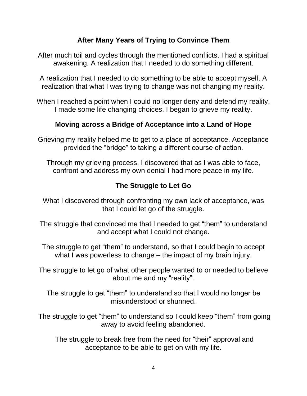## **After Many Years of Trying to Convince Them**

After much toil and cycles through the mentioned conflicts, I had a spiritual awakening. A realization that I needed to do something different.

A realization that I needed to do something to be able to accept myself. A realization that what I was trying to change was not changing my reality.

When I reached a point when I could no longer deny and defend my reality, I made some life changing choices. I began to grieve my reality.

## **Moving across a Bridge of Acceptance into a Land of Hope**

Grieving my reality helped me to get to a place of acceptance. Acceptance provided the "bridge" to taking a different course of action.

Through my grieving process, I discovered that as I was able to face, confront and address my own denial I had more peace in my life.

# **The Struggle to Let Go**

What I discovered through confronting my own lack of acceptance, was that I could let go of the struggle.

The struggle that convinced me that I needed to get "them" to understand and accept what I could not change.

The struggle to get "them" to understand, so that I could begin to accept what I was powerless to change – the impact of my brain injury.

The struggle to let go of what other people wanted to or needed to believe about me and my "reality".

The struggle to get "them" to understand so that I would no longer be misunderstood or shunned.

The struggle to get "them" to understand so I could keep "them" from going away to avoid feeling abandoned.

The struggle to break free from the need for "their" approval and acceptance to be able to get on with my life.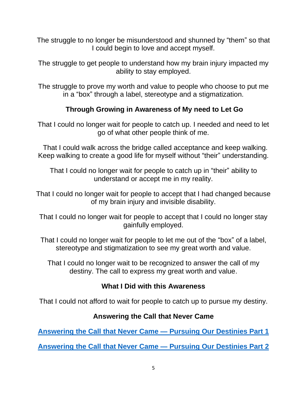The struggle to no longer be misunderstood and shunned by "them" so that I could begin to love and accept myself.

The struggle to get people to understand how my brain injury impacted my ability to stay employed.

The struggle to prove my worth and value to people who choose to put me in a "box" through a label, stereotype and a stigmatization.

# **Through Growing in Awareness of My need to Let Go**

That I could no longer wait for people to catch up. I needed and need to let go of what other people think of me.

That I could walk across the bridge called acceptance and keep walking. Keep walking to create a good life for myself without "their" understanding.

That I could no longer wait for people to catch up in "their" ability to understand or accept me in my reality.

That I could no longer wait for people to accept that I had changed because of my brain injury and invisible disability.

That I could no longer wait for people to accept that I could no longer stay gainfully employed.

That I could no longer wait for people to let me out of the "box" of a label, stereotype and stigmatization to see my great worth and value.

That I could no longer wait to be recognized to answer the call of my destiny. The call to express my great worth and value.

## **What I Did with this Awareness**

That I could not afford to wait for people to catch up to pursue my destiny.

## **Answering the Call that Never Came**

**[Answering the Call that Never Came —](https://secondchancetolive.org/2014/05/29/answering-the-call-never-came-pursuing-our-destinies/) Pursuing Our Destinies Part 1**

**[Answering the Call that Never Came —](https://secondchancetolive.org/2014/05/30/answering-the-call-that-never-came-pursuing-our-destinies-part-2/) Pursuing Our Destinies Part 2**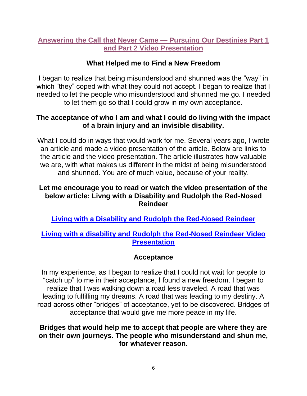## **[Answering the Call that Never Came —](https://www.youtube.com/watch?v=cPNqafZ5cdo) Pursuing Our Destinies Part 1 [and Part 2 Video Presentation](https://www.youtube.com/watch?v=cPNqafZ5cdo)**

## **What Helped me to Find a New Freedom**

I began to realize that being misunderstood and shunned was the "way" in which "they" coped with what they could not accept. I began to realize that I needed to let the people who misunderstood and shunned me go. I needed to let them go so that I could grow in my own acceptance.

#### **The acceptance of who I am and what I could do living with the impact of a brain injury and an invisible disability.**

What I could do in ways that would work for me. Several years ago, I wrote an article and made a video presentation of the article. Below are links to the article and the video presentation. The article illustrates how valuable we are, with what makes us different in the midst of being misunderstood and shunned. You are of much value, because of your reality.

#### **Let me encourage you to read or watch the video presentation of the below article: Livng with a Disability and Rudolph the Red-Nosed Reindeer**

**[Living with a Disability and Rudolph the Red-Nosed Reindeer](https://secondchancetolive.org/2011/12/21/living-with-a-disability-and-rudolph-the-red-nosed-reindeer/)**

#### **[Living with a disability and Rudolph the Red-Nosed Reindeer Video](https://www.youtube.com/watch?v=VhJI7r6VQfI)  [Presentation](https://www.youtube.com/watch?v=VhJI7r6VQfI)**

#### **Acceptance**

In my experience, as I began to realize that I could not wait for people to "catch up" to me in their acceptance, I found a new freedom. I began to realize that I was walking down a road less traveled. A road that was leading to fulfilling my dreams. A road that was leading to my destiny. A road across other "bridges" of acceptance, yet to be discovered. Bridges of acceptance that would give me more peace in my life.

#### **Bridges that would help me to accept that people are where they are on their own journeys. The people who misunderstand and shun me, for whatever reason.**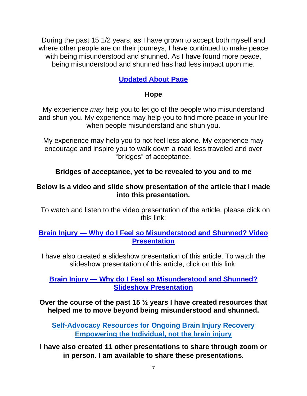During the past 15 1/2 years, as I have grown to accept both myself and where other people are on their journeys, I have continued to make peace with being misunderstood and shunned. As I have found more peace, being misunderstood and shunned has had less impact upon me.

# **[Updated About Page](https://secondchancetolive.org/second-chance-to-live-craig-j-phillips-mrc-ba-resume-of-credibility/)**

## **Hope**

My experience *may* help you to let go of the people who misunderstand and shun you. My experience may help you to find more peace in your life when people misunderstand and shun you.

My experience may help you to not feel less alone. My experience may encourage and inspire you to walk down a road less traveled and over "bridges" of acceptance.

# **Bridges of acceptance, yet to be revealed to you and to me**

#### **Below is a video and slide show presentation of the article that I made into this presentation.**

To watch and listen to the video presentation of the article, please click on this link:

#### **Brain Injury — [Why do I Feel so Misunderstood and Shunned? Video](https://secondchancetolive.org/2016/08/23/brain-injury-why-do-i-feel-so-misunderstood-shunned-video-presentation/)  [Presentation](https://secondchancetolive.org/2016/08/23/brain-injury-why-do-i-feel-so-misunderstood-shunned-video-presentation/)**

I have also created a slideshow presentation of this article. To watch the slideshow presentation of this article, click on this link:

#### **Brain Injury — [Why do I Feel so Misunderstood and Shunned?](https://secondchancetolive.org/2017/10/31/getting-past-victim-mindset-power-choice-slide-show-presentation-episode-340/)  [Slideshow Presentation](https://secondchancetolive.org/2017/10/31/getting-past-victim-mindset-power-choice-slide-show-presentation-episode-340/)**

**Over the course of the past 15 ½ years I have created resources that helped me to move beyond being misunderstood and shunned.**

**[Self-Advocacy Resources for Ongoing Brain Injury Recovery](https://secondchancetolive.org/resources-available-second-chance-live/)  [Empowering the Individual, not the brain injury](https://secondchancetolive.org/resources-available-second-chance-live/)**

**I have also created 11 other presentations to share through zoom or in person. I am available to share these presentations.**